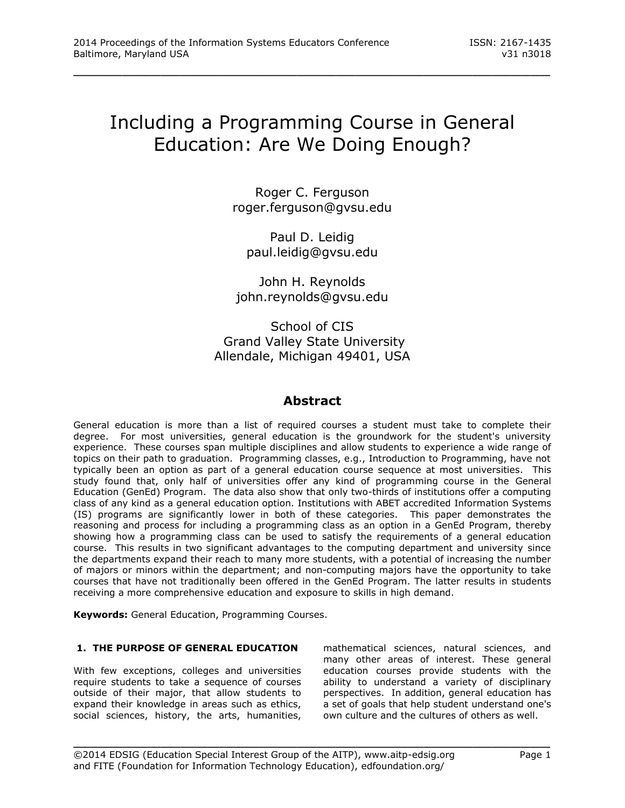# Including a Programming Course in General Education: Are We Doing Enough?

\_\_\_\_\_\_\_\_\_\_\_\_\_\_\_\_\_\_\_\_\_\_\_\_\_\_\_\_\_\_\_\_\_\_\_\_\_\_\_\_\_\_\_\_\_\_\_\_\_

Roger C. Ferguson [roger.ferguson@gvsu.edu](mailto:roger.ferguson@gvsu.edu)

Paul D. Leidig [paul.leidig@gvsu.edu](mailto:paul.leidig@gvsu.edu)

John H. Reynolds [john.reynolds@gvsu.edu](mailto:john.reynolds@gvsu.edu)

School of CIS Grand Valley State University Allendale, Michigan 49401, USA

# **Abstract**

General education is more than a list of required courses a student must take to complete their degree. For most universities, general education is the groundwork for the student's university experience. These courses span multiple disciplines and allow students to experience a wide range of topics on their path to graduation. Programming classes, e.g., Introduction to Programming, have not typically been an option as part of a general education course sequence at most universities. This study found that, only half of universities offer any kind of programming course in the General Education (GenEd) Program. The data also show that only two-thirds of institutions offer a computing class of any kind as a general education option. Institutions with ABET accredited Information Systems (IS) programs are significantly lower in both of these categories. This paper demonstrates the reasoning and process for including a programming class as an option in a GenEd Program, thereby showing how a programming class can be used to satisfy the requirements of a general education course. This results in two significant advantages to the computing department and university since the departments expand their reach to many more students, with a potential of increasing the number of majors or minors within the department; and non-computing majors have the opportunity to take courses that have not traditionally been offered in the GenEd Program. The latter results in students receiving a more comprehensive education and exposure to skills in high demand.

\_\_\_\_\_\_\_\_\_\_\_\_\_\_\_\_\_\_\_\_\_\_\_\_\_\_\_\_\_\_\_\_\_\_\_\_\_\_\_\_\_\_\_\_\_\_\_\_\_

**Keywords:** General Education, Programming Courses.

## **1. THE PURPOSE OF GENERAL EDUCATION**

With few exceptions, colleges and universities require students to take a sequence of courses outside of their major, that allow students to expand their knowledge in areas such as ethics, social sciences, history, the arts, humanities,

mathematical sciences, natural sciences, and many other areas of interest. These general education courses provide students with the ability to understand a variety of disciplinary perspectives. In addition, general education has a set of goals that help student understand one's own culture and the cultures of others as well.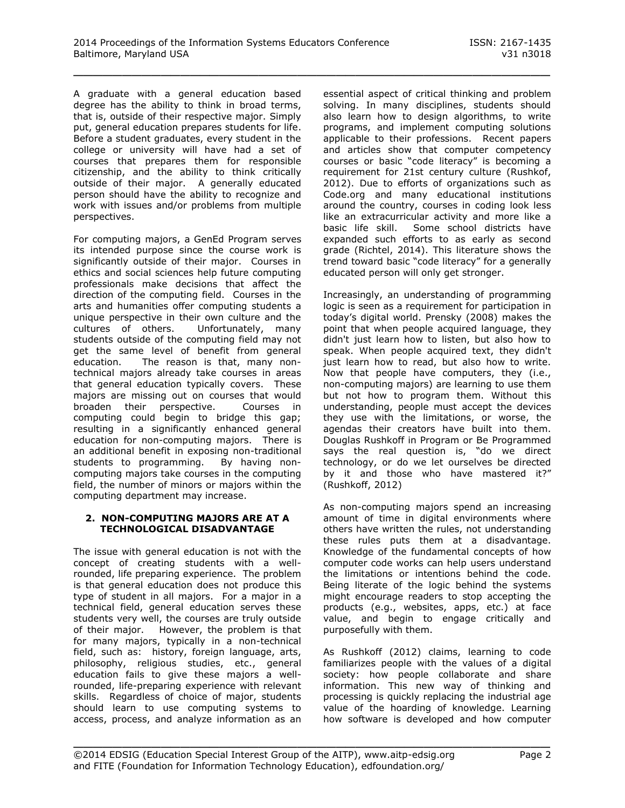A graduate with a general education based degree has the ability to think in broad terms, that is, outside of their respective major. Simply put, general education prepares students for life. Before a student graduates, every student in the college or university will have had a set of courses that prepares them for responsible citizenship, and the ability to think critically outside of their major. A generally educated person should have the ability to recognize and work with issues and/or problems from multiple perspectives.

For computing majors, a GenEd Program serves its intended purpose since the course work is significantly outside of their major. Courses in ethics and social sciences help future computing professionals make decisions that affect the direction of the computing field. Courses in the arts and humanities offer computing students a unique perspective in their own culture and the cultures of others. Unfortunately, many students outside of the computing field may not get the same level of benefit from general education. The reason is that, many nontechnical majors already take courses in areas that general education typically covers. These majors are missing out on courses that would broaden their perspective. Courses in computing could begin to bridge this gap; resulting in a significantly enhanced general education for non-computing majors. There is an additional benefit in exposing non-traditional students to programming. By having noncomputing majors take courses in the computing field, the number of minors or majors within the computing department may increase.

#### **2. NON-COMPUTING MAJORS ARE AT A TECHNOLOGICAL DISADVANTAGE**

The issue with general education is not with the concept of creating students with a wellrounded, life preparing experience. The problem is that general education does not produce this type of student in all majors. For a major in a technical field, general education serves these students very well, the courses are truly outside of their major. However, the problem is that for many majors, typically in a non-technical field, such as: history, foreign language, arts, philosophy, religious studies, etc., general education fails to give these majors a wellrounded, life-preparing experience with relevant skills. Regardless of choice of major, students should learn to use computing systems to access, process, and analyze information as an

essential aspect of critical thinking and problem solving. In many disciplines, students should also learn how to design algorithms, to write programs, and implement computing solutions applicable to their professions. Recent papers and articles show that computer competency courses or basic "code literacy" is becoming a requirement for 21st century culture (Rushkof, 2012). Due to efforts of organizations such as Code.org and many educational institutions around the country, courses in coding look less like an extracurricular activity and more like a basic life skill. Some school districts have expanded such efforts to as early as second grade (Richtel, 2014). This literature shows the trend toward basic "code literacy" for a generally educated person will only get stronger.

Increasingly, an understanding of programming logic is seen as a requirement for participation in today's digital world. Prensky (2008) makes the point that when people acquired language, they didn't just learn how to listen, but also how to speak. When people acquired text, they didn't just learn how to read, but also how to write. Now that people have computers, they (i.e., non-computing majors) are learning to use them but not how to program them. Without this understanding, people must accept the devices they use with the limitations, or worse, the agendas their creators have built into them. Douglas Rushkoff in Program or Be Programmed says the real question is, "do we direct technology, or do we let ourselves be directed by it and those who have mastered it?" (Rushkoff, 2012)

As non-computing majors spend an increasing amount of time in digital environments where others have written the rules, not understanding these rules puts them at a disadvantage. Knowledge of the fundamental concepts of how computer code works can help users understand the limitations or intentions behind the code. Being literate of the logic behind the systems might encourage readers to stop accepting the products (e.g., websites, apps, etc.) at face value, and begin to engage critically and purposefully with them.

As Rushkoff (2012) claims, learning to code familiarizes people with the values of a digital society: how people collaborate and share information. This new way of thinking and processing is quickly replacing the industrial age value of the hoarding of knowledge. Learning how software is developed and how computer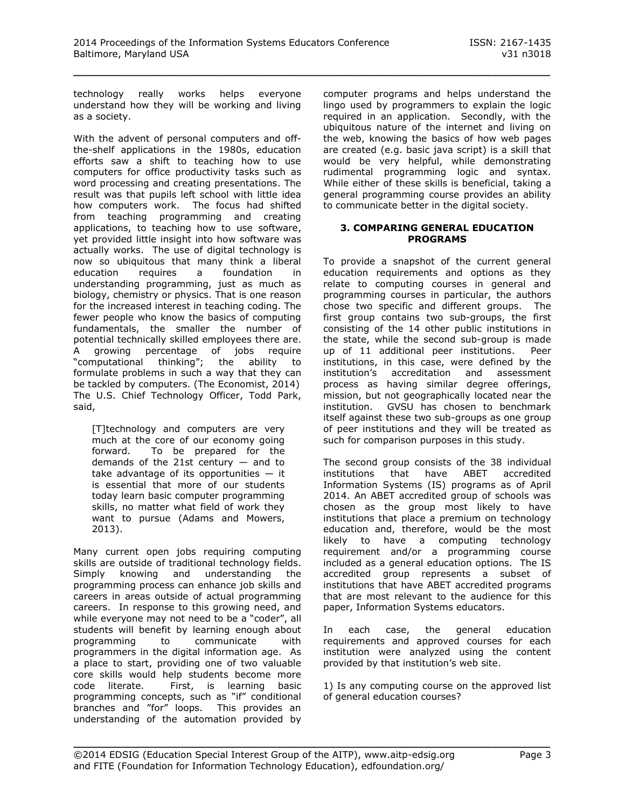technology really works helps everyone understand how they will be working and living as a society.

With the advent of personal computers and offthe-shelf applications in the 1980s, education efforts saw a shift to teaching how to use computers for office productivity tasks such as word processing and creating presentations. The result was that pupils left school with little idea how computers work. The focus had shifted from teaching programming and creating applications, to teaching how to use software, yet provided little insight into how software was actually works. The use of digital technology is now so ubiquitous that many think a liberal education requires a foundation in understanding programming, just as much as biology, chemistry or physics. That is one reason for the increased interest in teaching coding. The fewer people who know the basics of computing fundamentals, the smaller the number of potential technically skilled employees there are. A growing percentage of jobs require "computational thinking"; the ability to formulate problems in such a way that they can be tackled by computers. (The Economist, 2014) The U.S. Chief Technology Officer, Todd Park, said,

[T]technology and computers are very much at the core of our economy going forward. To be prepared for the demands of the 21st century  $-$  and to take advantage of its opportunities  $-$  it is essential that more of our students today learn basic computer programming skills, no matter what field of work they want to pursue (Adams and Mowers, 2013).

Many current open jobs requiring computing skills are outside of traditional technology fields. Simply knowing and understanding the programming process can enhance job skills and careers in areas outside of actual programming careers. In response to this growing need, and while everyone may not need to be a "coder", all students will benefit by learning enough about programming to communicate with programmers in the digital information age. As a place to start, providing one of two valuable core skills would help students become more code literate. First, is learning basic programming concepts, such as "if" conditional branches and "for" loops. This provides an understanding of the automation provided by

computer programs and helps understand the lingo used by programmers to explain the logic required in an application. Secondly, with the ubiquitous nature of the internet and living on the web, knowing the basics of how web pages are created (e.g. basic java script) is a skill that would be very helpful, while demonstrating rudimental programming logic and syntax. While either of these skills is beneficial, taking a general programming course provides an ability to communicate better in the digital society.

#### **3. COMPARING GENERAL EDUCATION PROGRAMS**

To provide a snapshot of the current general education requirements and options as they relate to computing courses in general and programming courses in particular, the authors chose two specific and different groups. The first group contains two sub-groups, the first consisting of the 14 other public institutions in the state, while the second sub-group is made<br>up of 11 additional peer institutions. Peer up of 11 additional peer institutions. institutions, in this case, were defined by the institution's accreditation and assessment process as having similar degree offerings, mission, but not geographically located near the institution. GVSU has chosen to benchmark itself against these two sub-groups as one group of peer institutions and they will be treated as such for comparison purposes in this study.

The second group consists of the 38 individual institutions that have ABET accredited Information Systems (IS) programs as of April 2014. An ABET accredited group of schools was chosen as the group most likely to have institutions that place a premium on technology education and, therefore, would be the most likely to have a computing technology requirement and/or a programming course included as a general education options. The IS accredited group represents a subset of institutions that have ABET accredited programs that are most relevant to the audience for this paper, Information Systems educators.

In each case, the general education requirements and approved courses for each institution were analyzed using the content provided by that institution's web site.

1) Is any computing course on the approved list of general education courses?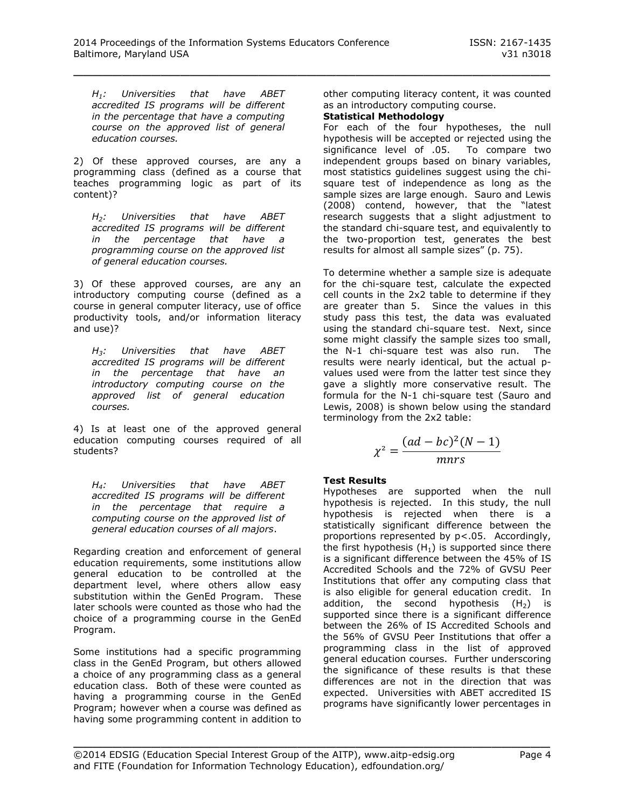*H1: Universities that have ABET accredited IS programs will be different in the percentage that have a computing course on the approved list of general education courses.*

2) Of these approved courses, are any a programming class (defined as a course that teaches programming logic as part of its content)?

*H2: Universities that have ABET accredited IS programs will be different in the percentage that have a programming course on the approved list of general education courses.*

3) Of these approved courses, are any an introductory computing course (defined as a course in general computer literacy, use of office productivity tools, and/or information literacy and use)?

*H3: Universities that have ABET accredited IS programs will be different in the percentage that have an introductory computing course on the approved list of general education courses.*

4) Is at least one of the approved general education computing courses required of all students?

*H4: Universities that have ABET accredited IS programs will be different in the percentage that require a computing course on the approved list of general education courses of all majors*.

Regarding creation and enforcement of general education requirements, some institutions allow general education to be controlled at the department level, where others allow easy substitution within the GenEd Program. These later schools were counted as those who had the choice of a programming course in the GenEd Program.

Some institutions had a specific programming class in the GenEd Program, but others allowed a choice of any programming class as a general education class. Both of these were counted as having a programming course in the GenEd Program; however when a course was defined as having some programming content in addition to

other computing literacy content, it was counted as an introductory computing course.

## **Statistical Methodology**

For each of the four hypotheses, the null hypothesis will be accepted or rejected using the significance level of .05. To compare two independent groups based on binary variables, most statistics guidelines suggest using the chisquare test of independence as long as the sample sizes are large enough. Sauro and Lewis (2008) contend, however, that the "latest research suggests that a slight adjustment to the standard chi-square test, and equivalently to the two-proportion test, generates the best results for almost all sample sizes" (p. 75).

To determine whether a sample size is adequate for the chi-square test, calculate the expected cell counts in the 2x2 table to determine if they are greater than 5. Since the values in this study pass this test, the data was evaluated using the standard chi-square test. Next, since some might classify the sample sizes too small, the N-1 chi-square test was also run. The results were nearly identical, but the actual pvalues used were from the latter test since they gave a slightly more conservative result. The formula for the N-1 chi-square test (Sauro and Lewis, 2008) is shown below using the standard terminology from the 2x2 table:

$$
\chi^2 = \frac{(ad - bc)^2 (N - 1)}{m n r s}
$$

## **Test Results**

Hypotheses are supported when the null hypothesis is rejected. In this study, the null hypothesis is rejected when there is a statistically significant difference between the proportions represented by p<.05. Accordingly, the first hypothesis  $(H_1)$  is supported since there is a significant difference between the 45% of IS Accredited Schools and the 72% of GVSU Peer Institutions that offer any computing class that is also eligible for general education credit. In addition, the second hypothesis  $(H_2)$  is supported since there is a significant difference between the 26% of IS Accredited Schools and the 56% of GVSU Peer Institutions that offer a programming class in the list of approved general education courses. Further underscoring the significance of these results is that these differences are not in the direction that was expected. Universities with ABET accredited IS programs have significantly lower percentages in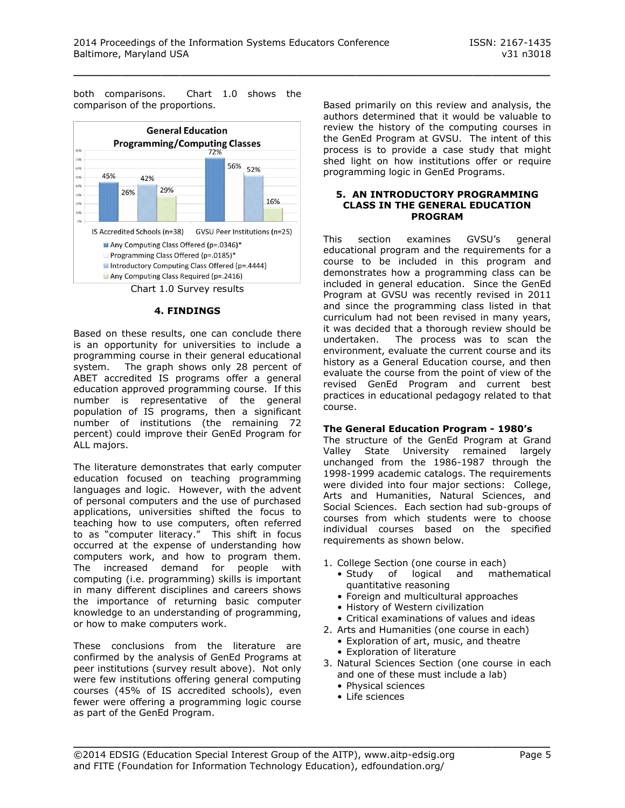both comparisons. Chart 1.0 shows the comparison of the proportions.



Chart 1.0 Survey results

#### **4. FINDINGS**

Based on these results, one can conclude there is an opportunity for universities to include a programming course in their general educational system. The graph shows only 28 percent of ABET accredited IS programs offer a general education approved programming course. If this number is representative of the general population of IS programs, then a significant number of institutions (the remaining 72 percent) could improve their GenEd Program for ALL majors.

The literature demonstrates that early computer education focused on teaching programming languages and logic. However, with the advent of personal computers and the use of purchased applications, universities shifted the focus to teaching how to use computers, often referred to as "computer literacy." This shift in focus occurred at the expense of understanding how computers work, and how to program them. The increased demand for people with computing (i.e. programming) skills is important in many different disciplines and careers shows the importance of returning basic computer knowledge to an understanding of programming, or how to make computers work.

These conclusions from the literature are confirmed by the analysis of GenEd Programs at peer institutions (survey result above). Not only were few institutions offering general computing courses (45% of IS accredited schools), even fewer were offering a programming logic course as part of the GenEd Program.

Based primarily on this review and analysis, the authors determined that it would be valuable to review the history of the computing courses in the GenEd Program at GVSU. The intent of this process is to provide a case study that might shed light on how institutions offer or require programming logic in GenEd Programs.

#### **5. AN INTRODUCTORY PROGRAMMING CLASS IN THE GENERAL EDUCATION PROGRAM**

This section examines GVSU's general educational program and the requirements for a course to be included in this program and demonstrates how a programming class can be included in general education. Since the GenEd Program at GVSU was recently revised in 2011 and since the programming class listed in that curriculum had not been revised in many years, it was decided that a thorough review should be undertaken. The process was to scan the environment, evaluate the current course and its history as a General Education course, and then evaluate the course from the point of view of the revised GenEd Program and current best practices in educational pedagogy related to that course.

## **The General Education Program - 1980's**

The structure of the GenEd Program at Grand Valley State University remained largely unchanged from the 1986-1987 through the 1998-1999 academic catalogs. The requirements were divided into four major sections: College, Arts and Humanities, Natural Sciences, and Social Sciences. Each section had sub-groups of courses from which students were to choose individual courses based on the specified requirements as shown below.

- 1. College Section (one course in each)
	- Study of logical and mathematical quantitative reasoning
	- Foreign and multicultural approaches
	- History of Western civilization
	- Critical examinations of values and ideas
- 2. Arts and Humanities (one course in each)
	- Exploration of art, music, and theatre
	- Exploration of literature
- 3. Natural Sciences Section (one course in each and one of these must include a lab)
	- Physical sciences
	- Life sciences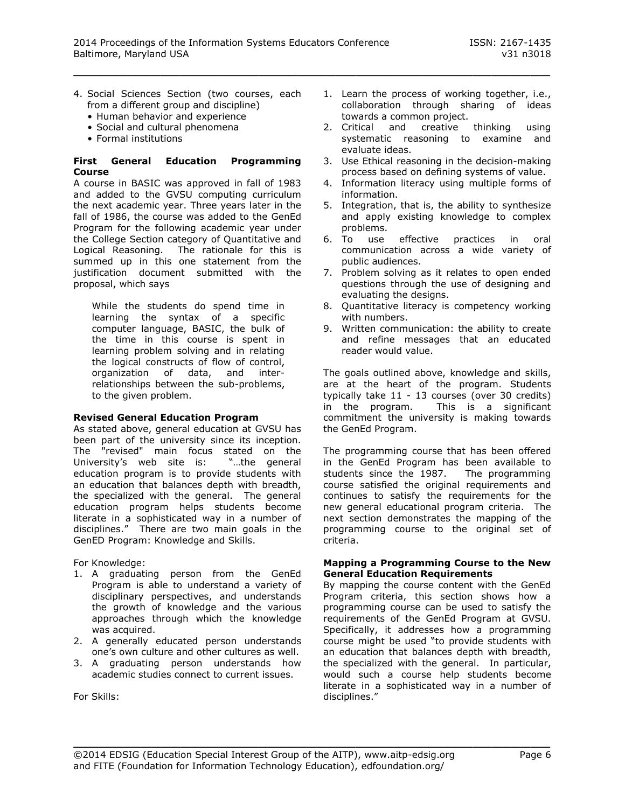- 4. Social Sciences Section (two courses, each from a different group and discipline)
	- Human behavior and experience
	- Social and cultural phenomena
	- Formal institutions

#### **First General Education Programming Course**

A course in BASIC was approved in fall of 1983 and added to the GVSU computing curriculum the next academic year. Three years later in the fall of 1986, the course was added to the GenEd Program for the following academic year under the College Section category of Quantitative and Logical Reasoning. The rationale for this is summed up in this one statement from the justification document submitted with the proposal, which says

While the students do spend time in learning the syntax of a specific computer language, BASIC, the bulk of the time in this course is spent in learning problem solving and in relating the logical constructs of flow of control, organization of data, and interrelationships between the sub-problems, to the given problem.

#### **Revised General Education Program**

As stated above, general education at GVSU has been part of the university since its inception. The "revised" main focus stated on the University's web site is: "…the general education program is to provide students with an education that balances depth with breadth, the specialized with the general. The general education program helps students become literate in a sophisticated way in a number of disciplines." There are two main goals in the GenED Program: Knowledge and Skills.

For Knowledge:

- 1. A graduating person from the GenEd Program is able to understand a variety of disciplinary perspectives, and understands the growth of knowledge and the various approaches through which the knowledge was acquired.
- 2. A generally educated person understands one's own culture and other cultures as well.
- 3. A graduating person understands how academic studies connect to current issues.

For Skills:

- 1. Learn the process of working together, i.e., collaboration through sharing of ideas towards a common project.
- 2. Critical and creative thinking using systematic reasoning to examine and evaluate ideas.
- 3. Use Ethical reasoning in the decision-making process based on defining systems of value.
- 4. Information literacy using multiple forms of information.
- 5. Integration, that is, the ability to synthesize and apply existing knowledge to complex problems.
- 6. To use effective practices in oral communication across a wide variety of public audiences.
- 7. Problem solving as it relates to open ended questions through the use of designing and evaluating the designs.
- 8. Quantitative literacy is competency working with numbers.
- 9. Written communication: the ability to create and refine messages that an educated reader would value.

The goals outlined above, knowledge and skills, are at the heart of the program. Students typically take 11 - 13 courses (over 30 credits) in the program. This is a significant commitment the university is making towards the GenEd Program.

The programming course that has been offered in the GenEd Program has been available to students since the 1987. The programming course satisfied the original requirements and continues to satisfy the requirements for the new general educational program criteria. The next section demonstrates the mapping of the programming course to the original set of criteria.

#### **Mapping a Programming Course to the New General Education Requirements**

By mapping the course content with the GenEd Program criteria, this section shows how a programming course can be used to satisfy the requirements of the GenEd Program at GVSU. Specifically, it addresses how a programming course might be used "to provide students with an education that balances depth with breadth, the specialized with the general. In particular, would such a course help students become literate in a sophisticated way in a number of disciplines."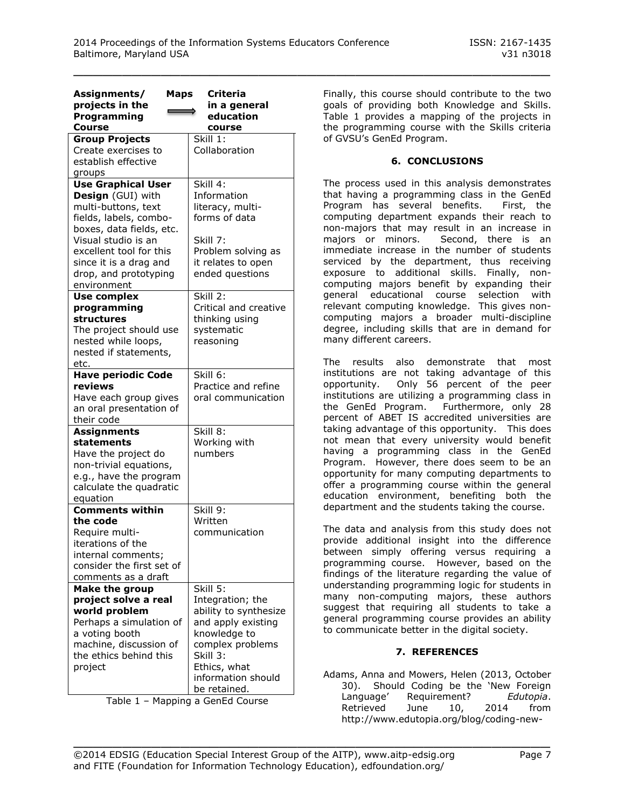| Assignments/<br><b>Maps</b><br>projects in the<br>Programming<br><b>Course</b>                                                                                                                                                                  | <b>Criteria</b><br>in a general<br>education<br>course                                                                                                                            |
|-------------------------------------------------------------------------------------------------------------------------------------------------------------------------------------------------------------------------------------------------|-----------------------------------------------------------------------------------------------------------------------------------------------------------------------------------|
| <b>Group Projects</b><br>Create exercises to<br>establish effective<br>groups                                                                                                                                                                   | Skill 1:<br>Collaboration                                                                                                                                                         |
| <b>Use Graphical User</b><br>Design (GUI) with<br>multi-buttons, text<br>fields, labels, combo-<br>boxes, data fields, etc.<br>Visual studio is an<br>excellent tool for this<br>since it is a drag and<br>drop, and prototyping<br>environment | Skill 4:<br>Information<br>literacy, multi-<br>forms of data<br>Skill 7:<br>Problem solving as<br>it relates to open<br>ended questions                                           |
| <b>Use complex</b><br>programming<br>structures<br>The project should use<br>nested while loops,<br>nested if statements,<br>etc.                                                                                                               | Skill 2:<br>Critical and creative<br>thinking using<br>systematic<br>reasoning                                                                                                    |
| <b>Have periodic Code</b><br>reviews<br>Have each group gives<br>an oral presentation of<br>their code                                                                                                                                          | Skill 6:<br>Practice and refine<br>oral communication                                                                                                                             |
| <b>Assignments</b><br>statements<br>Have the project do<br>non-trivial equations,<br>e.g., have the program<br>calculate the quadratic<br>equation                                                                                              | Skill 8:<br>Working with<br>numbers                                                                                                                                               |
| <b>Comments within</b><br>the code<br>Require multi-<br>iterations of the<br>internal comments;<br>consider the first set of<br>comments as a draft                                                                                             | Skill 9:<br>Written<br>communication                                                                                                                                              |
| Make the group<br>project solve a real<br>world problem<br>Perhaps a simulation of<br>a voting booth<br>machine, discussion of<br>the ethics behind this<br>project                                                                             | Skill 5:<br>Integration; the<br>ability to synthesize<br>and apply existing<br>knowledge to<br>complex problems<br>Skill 3:<br>Ethics, what<br>information should<br>be retained. |

Table 1 – Mapping a GenEd Course

Finally, this course should contribute to the two goals of providing both Knowledge and Skills. Table 1 provides a mapping of the projects in the programming course with the Skills criteria of GVSU's GenEd Program.

## **6. CONCLUSIONS**

The process used in this analysis demonstrates that having a programming class in the GenEd Program has several benefits. First, the computing department expands their reach to non-majors that may result in an increase in majors or minors. Second, there is an immediate increase in the number of students serviced by the department, thus receiving exposure to additional skills. Finally, noncomputing majors benefit by expanding their general educational course selection with relevant computing knowledge. This gives noncomputing majors a broader multi-discipline degree, including skills that are in demand for many different careers.

The results also demonstrate that most institutions are not taking advantage of this opportunity. Only 56 percent of the peer institutions are utilizing a programming class in the GenEd Program. Furthermore, only 28 percent of ABET IS accredited universities are taking advantage of this opportunity. This does not mean that every university would benefit having a programming class in the GenEd Program. However, there does seem to be an opportunity for many computing departments to offer a programming course within the general education environment, benefiting both the department and the students taking the course.

The data and analysis from this study does not provide additional insight into the difference between simply offering versus requiring a programming course. However, based on the findings of the literature regarding the value of understanding programming logic for students in many non-computing majors, these authors suggest that requiring all students to take a general programming course provides an ability to communicate better in the digital society.

## **7. REFERENCES**

Adams, Anna and Mowers, Helen (2013, October 30). Should Coding be the 'New Foreign Language' Requirement? *Edutopia*. Retrieved June 10, 2014 from [http://www.edutopia.org/blog/coding-new-](http://www.edutopia.org/blog/coding-new-foreign-language-requirement-helen-mowers?page=1)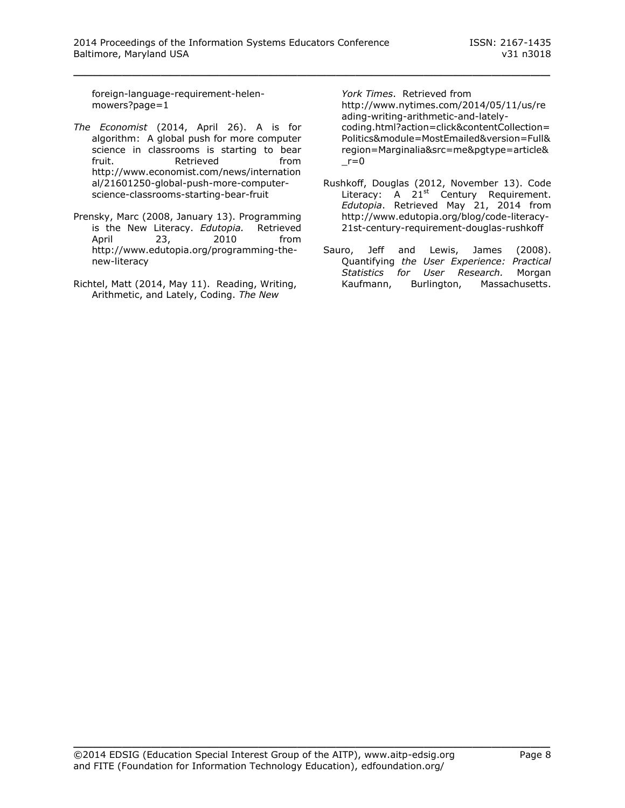[foreign-language-requirement-helen](http://www.edutopia.org/blog/coding-new-foreign-language-requirement-helen-mowers?page=1)[mowers?page=1](http://www.edutopia.org/blog/coding-new-foreign-language-requirement-helen-mowers?page=1)

- *The Economist* (2014, April 26). A is for algorithm: A global push for more computer science in classrooms is starting to bear fruit. The Retrieved controller from [http://www.economist.com/news/internation](http://www.economist.com/news/international/21601250-global-push-more-computer-science-classrooms-starting-bear-fruit) [al/21601250-global-push-more-computer](http://www.economist.com/news/international/21601250-global-push-more-computer-science-classrooms-starting-bear-fruit)[science-classrooms-starting-bear-fruit](http://www.economist.com/news/international/21601250-global-push-more-computer-science-classrooms-starting-bear-fruit)
- Prensky, Marc (2008, January 13). Programming is the New Literacy. *Edutopia.* Retrieved April 23, 2010 from [http://www.edutopia.org/programming-the](http://www.edutopia.org/programming-the-new-literacy)[new-literacy](http://www.edutopia.org/programming-the-new-literacy)
- Richtel, Matt (2014, May 11). Reading, Writing, Arithmetic, and Lately, Coding. *The New*

*York Times*. Retrieved from [http://www.nytimes.com/2014/05/11/us/re](http://www.nytimes.com/2014/05/11/us/reading-writing-arithmetic-and-lately-coding.html?action=click&contentCollection=Politics&module=MostEmailed&version=Full®ion=Marginalia&src=me&pgtype=article&_r=0) [ading-writing-arithmetic-and-lately](http://www.nytimes.com/2014/05/11/us/reading-writing-arithmetic-and-lately-coding.html?action=click&contentCollection=Politics&module=MostEmailed&version=Full®ion=Marginalia&src=me&pgtype=article&_r=0)[coding.html?action=click&contentCollection=](http://www.nytimes.com/2014/05/11/us/reading-writing-arithmetic-and-lately-coding.html?action=click&contentCollection=Politics&module=MostEmailed&version=Full®ion=Marginalia&src=me&pgtype=article&_r=0) [Politics&module=MostEmailed&version=Full&](http://www.nytimes.com/2014/05/11/us/reading-writing-arithmetic-and-lately-coding.html?action=click&contentCollection=Politics&module=MostEmailed&version=Full®ion=Marginalia&src=me&pgtype=article&_r=0) [region=Marginalia&src=me&pgtype=article&](http://www.nytimes.com/2014/05/11/us/reading-writing-arithmetic-and-lately-coding.html?action=click&contentCollection=Politics&module=MostEmailed&version=Full®ion=Marginalia&src=me&pgtype=article&_r=0)  $r=0$ 

- Rushkoff, Douglas (2012, November 13). Code Literacy: A 21<sup>st</sup> Century Requirement. *Edutopia*. Retrieved May 21, 2014 from [http://www.edutopia.org/blog/code-literacy-](http://www.edutopia.org/blog/code-literacy-21st-century-requirement-douglas-rushkoff)[21st-century-requirement-douglas-rushkoff](http://www.edutopia.org/blog/code-literacy-21st-century-requirement-douglas-rushkoff)
- Sauro, Jeff and Lewis, James (2008). Quantifying *the User Experience: Practical Statistics for User Research.* Morgan Kaufmann, [Burlington, Massachusetts.](http://en.wikipedia.org/wiki/Burlington,_Massachusetts)